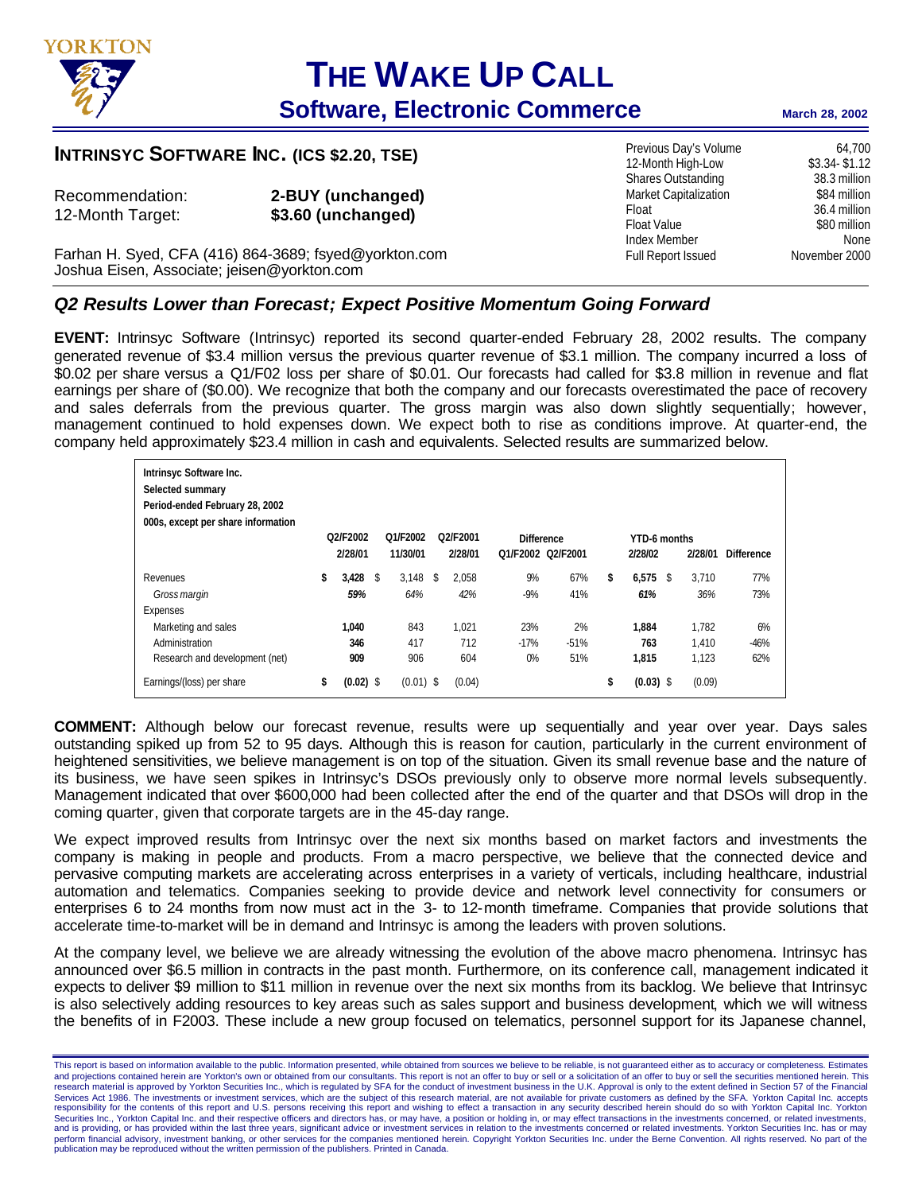

# **THE WAKE UP CALL**

# **Software, Electronic Commerce** March 28, 2002

Previous Day's Volume 64,700 12-Month High-Low \$3.34- \$1.12 Shares Outstanding 38.3 million Market Capitalization \$84 million Float 36.4 million Float Value \$80 million Index Member<br>
Full Report Issued Movember 2000

Full Report Issued

### **INTRINSYC SOFTWARE INC. (ICS \$2.20, TSE)**

| Recommendation:  | $2 - B$ |
|------------------|---------|
| 12-Month Target: | \$3.0   |

**UY (unchanged)** 12-Month Target: **\$3.60 (unchanged)**

Farhan H. Syed, CFA (416) 864-3689; fsyed@yorkton.com Joshua Eisen, Associate; jeisen@yorkton.com

## *Q2 Results Lower than Forecast; Expect Positive Momentum Going Forward*

**EVENT:** Intrinsyc Software (Intrinsyc) reported its second quarter-ended February 28, 2002 results. The company generated revenue of \$3.4 million versus the previous quarter revenue of \$3.1 million. The company incurred a loss of \$0.02 per share versus a Q1/F02 loss per share of \$0.01. Our forecasts had called for \$3.8 million in revenue and flat earnings per share of (\$0.00). We recognize that both the company and our forecasts overestimated the pace of recovery and sales deferrals from the previous quarter. The gross margin was also down slightly sequentially; however, management continued to hold expenses down. We expect both to rise as conditions improve. At quarter-end, the company held approximately \$23.4 million in cash and equivalents. Selected results are summarized below.

| Intrinsyc Software Inc.<br>Selected summary<br>Period-ended February 28, 2002<br>000s, except per share information |          |             |             |    |                                   |                   |                   |              |             |  |         |                   |
|---------------------------------------------------------------------------------------------------------------------|----------|-------------|-------------|----|-----------------------------------|-------------------|-------------------|--------------|-------------|--|---------|-------------------|
|                                                                                                                     | O2/F2002 |             | O1/F2002    |    | O <sub>2</sub> /F <sub>2001</sub> | <b>Difference</b> |                   | YTD-6 months |             |  |         |                   |
|                                                                                                                     |          | 2/28/01     | 11/30/01    |    | 2/28/01                           |                   | O1/F2002 O2/F2001 |              | 2/28/02     |  | 2/28/01 | <b>Difference</b> |
| Revenues                                                                                                            | \$       | 3,428       | \$<br>3.148 | \$ | 2.058                             | 9%                | 67%               | \$           | $6,575$ \$  |  | 3.710   | 77%               |
| Gross margin                                                                                                        |          | 59%         | 64%         |    | 42%                               | $-9%$             | 41%               |              | 61%         |  | 36%     | 73%               |
| Expenses                                                                                                            |          |             |             |    |                                   |                   |                   |              |             |  |         |                   |
| Marketing and sales                                                                                                 |          | 1.040       | 843         |    | 1.021                             | 23%               | 2%                |              | 1,884       |  | 1.782   | 6%                |
| Administration                                                                                                      |          | 346         | 417         |    | 712                               | $-17%$            | $-51%$            |              | 763         |  | 1.410   | $-46%$            |
| Research and development (net)                                                                                      |          | 909         | 906         |    | 604                               | 0%                | 51%               |              | 1.815       |  | 1.123   | 62%               |
| Earnings/(loss) per share                                                                                           | \$       | $(0.02)$ \$ | $(0.01)$ \$ |    | (0.04)                            |                   |                   | \$           | $(0.03)$ \$ |  | (0.09)  |                   |

**COMMENT:** Although below our forecast revenue, results were up sequentially and year over year. Days sales outstanding spiked up from 52 to 95 days. Although this is reason for caution, particularly in the current environment of heightened sensitivities, we believe management is on top of the situation. Given its small revenue base and the nature of its business, we have seen spikes in Intrinsyc's DSOs previously only to observe more normal levels subsequently. Management indicated that over \$600,000 had been collected after the end of the quarter and that DSOs will drop in the coming quarter, given that corporate targets are in the 45-day range.

We expect improved results from Intrinsyc over the next six months based on market factors and investments the company is making in people and products. From a macro perspective, we believe that the connected device and pervasive computing markets are accelerating across enterprises in a variety of verticals, including healthcare, industrial automation and telematics. Companies seeking to provide device and network level connectivity for consumers or enterprises 6 to 24 months from now must act in the 3- to 12-month timeframe. Companies that provide solutions that accelerate time-to-market will be in demand and Intrinsyc is among the leaders with proven solutions.

At the company level, we believe we are already witnessing the evolution of the above macro phenomena. Intrinsyc has announced over \$6.5 million in contracts in the past month. Furthermore, on its conference call, management indicated it expects to deliver \$9 million to \$11 million in revenue over the next six months from its backlog. We believe that Intrinsyc is also selectively adding resources to key areas such as sales support and business development, which we will witness the benefits of in F2003. These include a new group focused on telematics, personnel support for its Japanese channel,

This report is based on information available to the public. Information presented, while obtained from sources we believe to be reliable, is not guaranteed either as to accuracy or completeness. Estimates and projections contained herein are Yorkton's own or obtained from our consultants. This report is not an offer to buy or sell or a solicitation of an offer to buy or sell the securities mentioned herein. This research material is approved by Yorkton Securities Inc., which is regulated by SFA for the conduct of investment business in the U.K. Approval is only to the extent defined in Section 57 of the Financial<br>Services Act 1986 responsibility for the contents of this report and U.S. persons receiving this report and wishing to effect a transaction in any security described herein should do so with Yorkton Capital Inc. Yorkton Securities Inc., Yorkton Capital Inc. and their respective officers and directors has, or may have, a position or holding in, or may effect transactions in the investments concerned, or related investments, and is providing, or has provided within the last three years, significant advice or investment services in relation to the investments concerned or related investments. Yorkton Securities Inc. has or may perform financial advisory, investment banking, or other services for the companies mentioned herein. Copyright Yorkton Securities Inc. under the Berne Convention. All rights reserved. No part of the publication may be reproduced without the written permission of the publishers. Printed in Canada.